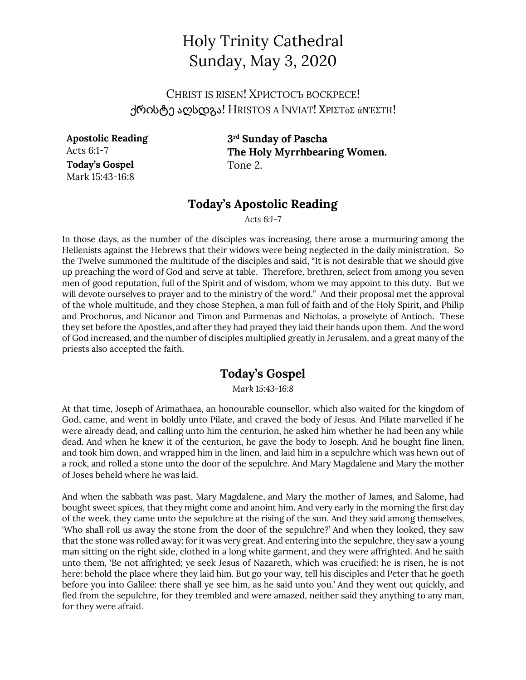# Holy Trinity Cathedral Sunday, May 3, 2020

CHRIST IS RISEN! ХРИСТОСЪ ВОСКРЕСЕ! !"#\$%& '(\$)\*'! HRISTOS A ÎNVIAT! ΧΡΙΣΤὸΣ ἀΝΈΣΤΗ!

**Apostolic Reading** Acts 6:1-7 **Today's Gospel** Mark 15:43-16:8

**3rd Sunday of Pascha The Holy Myrrhbearing Women.** Tone 2.

### **Today's Apostolic Reading**

*Acts 6:1-7*

In those days, as the number of the disciples was increasing, there arose a murmuring among the Hellenists against the Hebrews that their widows were being neglected in the daily ministration. So the Twelve summoned the multitude of the disciples and said, "It is not desirable that we should give up preaching the word of God and serve at table. Therefore, brethren, select from among you seven men of good reputation, full of the Spirit and of wisdom, whom we may appoint to this duty. But we will devote ourselves to prayer and to the ministry of the word." And their proposal met the approval of the whole multitude, and they chose Stephen, a man full of faith and of the Holy Spirit, and Philip and Prochorus, and Nicanor and Timon and Parmenas and Nicholas, a proselyte of Antioch. These they set before the Apostles, and after they had prayed they laid their hands upon them. And the word of God increased, and the number of disciples multiplied greatly in Jerusalem, and a great many of the priests also accepted the faith.

## **Today's Gospel**

*Mark 15:43-16:8*

At that time, Joseph of Arimathaea, an honourable counsellor, which also waited for the kingdom of God, came, and went in boldly unto Pilate, and craved the body of Jesus. And Pilate marvelled if he were already dead, and calling unto him the centurion, he asked him whether he had been any while dead. And when he knew it of the centurion, he gave the body to Joseph. And he bought fine linen, and took him down, and wrapped him in the linen, and laid him in a sepulchre which was hewn out of a rock, and rolled a stone unto the door of the sepulchre. And Mary Magdalene and Mary the mother of Joses beheld where he was laid.

And when the sabbath was past, Mary Magdalene, and Mary the mother of James, and Salome, had bought sweet spices, that they might come and anoint him. And very early in the morning the first day of the week, they came unto the sepulchre at the rising of the sun. And they said among themselves, 'Who shall roll us away the stone from the door of the sepulchre?' And when they looked, they saw that the stone was rolled away: for it was very great. And entering into the sepulchre, they saw a young man sitting on the right side, clothed in a long white garment, and they were affrighted. And he saith unto them, 'Be not affrighted; ye seek Jesus of Nazareth, which was crucified: he is risen, he is not here: behold the place where they laid him. But go your way, tell his disciples and Peter that he goeth before you into Galilee: there shall ye see him, as he said unto you.' And they went out quickly, and fled from the sepulchre, for they trembled and were amazed, neither said they anything to any man, for they were afraid.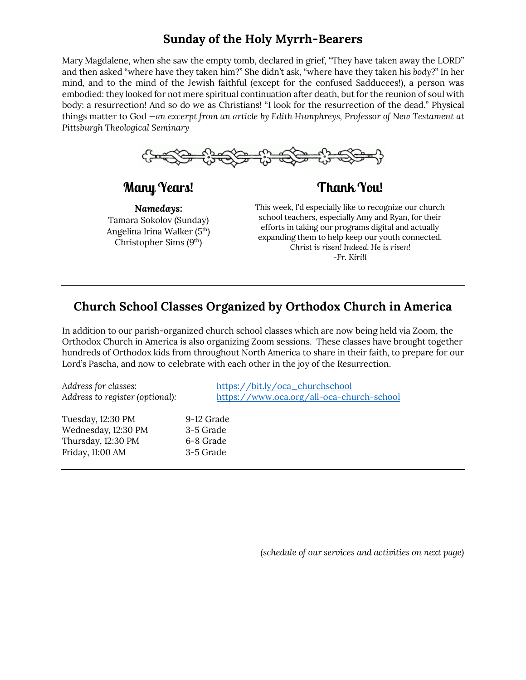# **Sunday of the Holy Myrrh-Bearers**

Mary Magdalene, when she saw the empty tomb, declared in grief, "They have taken away the LORD" and then asked "where have they taken him?" She didn't ask, "where have they taken his *body*?" In her mind, and to the mind of the Jewish faithful (except for the confused Sadducees!), a person was embodied: they looked for not mere spiritual continuation after death, but for the reunion of soul with body: a resurrection! And so do we as Christians! "I look for the resurrection of the dead." Physical things matter to God *—an excerpt from an article by Edith Humphreys, Professor of New Testament at Pittsburgh Theological Seminary*



# **Many Years!**

*Namedays:* Tamara Sokolov (Sunday) Angelina Irina Walker (5<sup>th</sup>) Christopher Sims (9th)

**Thank You!**

This week, I'd especially like to recognize our church school teachers, especially Amy and Ryan, for their efforts in taking our programs digital and actually expanding them to help keep our youth connected. *Christ is risen! Indeed, He is risen! -Fr. Kirill*

# **Church School Classes Organized by Orthodox Church in America**

In addition to our parish-organized church school classes which are now being held via Zoom, the Orthodox Church in America is also organizing Zoom sessions. These classes have brought together hundreds of Orthodox kids from throughout North America to share in their faith, to prepare for our Lord's Pascha, and now to celebrate with each other in the joy of the Resurrection.

Tuesday, 12:30 PM 9-12 Grade Wednesday, 12:30 PM 3-5 Grade Thursday, 12:30 PM 6-8 Grade Friday, 11:00 AM 3-5 Grade

Address for classes: https://bit.ly/oca\_churchschool *Address to register (optional):* https://www.oca.org/all-oca-church-school

*(schedule of our services and activities on next page)*